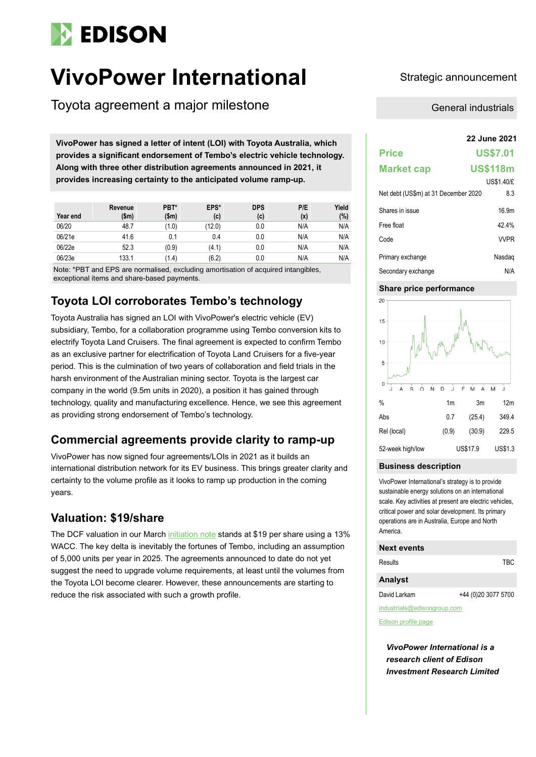

# **VivoPower International** Strategic announcement

Toyota agreement a major milestone

**22 June 2021 VivoPower has signed a letter of intent (LOI) with Toyota Australia, which provides a significant endorsement of Tembo's electric vehicle technology. Along with three other distribution agreements announced in 2021, it provides increasing certainty to the anticipated volume ramp-up.**

| Year end | Revenue<br>\$m\$ | PBT*<br>(\$m) | EPS*<br>(c) | <b>DPS</b><br>(c) | P/E<br>(x) | Yield<br>$(\%)$ |
|----------|------------------|---------------|-------------|-------------------|------------|-----------------|
| 06/20    | 48.7             | (1.0)         | (12.0)      | 0.0               | N/A        | N/A             |
| 06/21e   | 41.6             | 0.1           | 0.4         | 0.0               | N/A        | N/A             |
| 06/22e   | 52.3             | (0.9)         | (4.1)       | 0.0               | N/A        | N/A             |
| 06/23e   | 133.1            | (1.4)         | (6.2)       | 0.0               | N/A        | N/A             |

Note: \*PBT and EPS are normalised, excluding amortisation of acquired intangibles, exceptional items and share-based payments.

## **Toyota LOI corroborates Tembo's technology**

Toyota Australia has signed an LOI with VivoPower's electric vehicle (EV) subsidiary, Tembo, for a collaboration programme using Tembo conversion kits to electrify Toyota Land Cruisers. The final agreement is expected to confirm Tembo as an exclusive partner for electrification of Toyota Land Cruisers for a five-year period. This is the culmination of two years of collaboration and field trials in the harsh environment of the Australian mining sector. Toyota is the largest car company in the world (9.5m units in 2020), a position it has gained through technology, quality and manufacturing excellence. Hence, we see this agreement as providing strong endorsement of Tembo's technology.

## **Commercial agreements provide clarity to ramp-up**

VivoPower has now signed four agreements/LOIs in 2021 as it builds an international distribution network for its EV business. This brings greater clarity and certainty to the volume profile as it looks to ramp up production in the coming years.

### **Valuation: \$19/share**

The DCF valuation in our Marc[h initiation](https://www.edisongroup.com/publication/ev-platform-for-growth/29178) note stands at \$19 per share using a 13% WACC. The key delta is inevitably the fortunes of Tembo, including an assumption of 5,000 units per year in 2025. The agreements announced to date do not yet suggest the need to upgrade volume requirements, at least until the volumes from the Toyota LOI become clearer. However, these announcements are starting to reduce the risk associated with such a growth profile.

General industrials

| <b>Price</b>                         | <b>US\$7.01</b>   |  |  |
|--------------------------------------|-------------------|--|--|
| <b>Market cap</b>                    | <b>US\$118m</b>   |  |  |
|                                      | <b>US\$1.40/£</b> |  |  |
| Net debt (US\$m) at 31 December 2020 | 8.3               |  |  |
| Shares in issue                      | 16.9m             |  |  |
| Free float                           | 424%              |  |  |
| Code                                 | <b>VVPR</b>       |  |  |
| Primary exchange                     | Nasdag            |  |  |
| Secondary exchange                   | N/A               |  |  |

#### **Share price performance**



#### **Business description**

VivoPower International's strategy is to provide sustainable energy solutions on an international scale. Key activities at present are electric vehicles, critical power and solar development. Its primary operations are in Australia, Europe and North America.

#### **Next events**

| Results        | TBC                 |
|----------------|---------------------|
| <b>Analyst</b> |                     |
| David Larkam   | +44 (0)20 3077 5700 |

industrials@edisongroup.com

[Edison profile page](https://www.edisongroup.com/company/vivopower-international/2978)

*VivoPower International is a research client of Edison Investment Research Limited*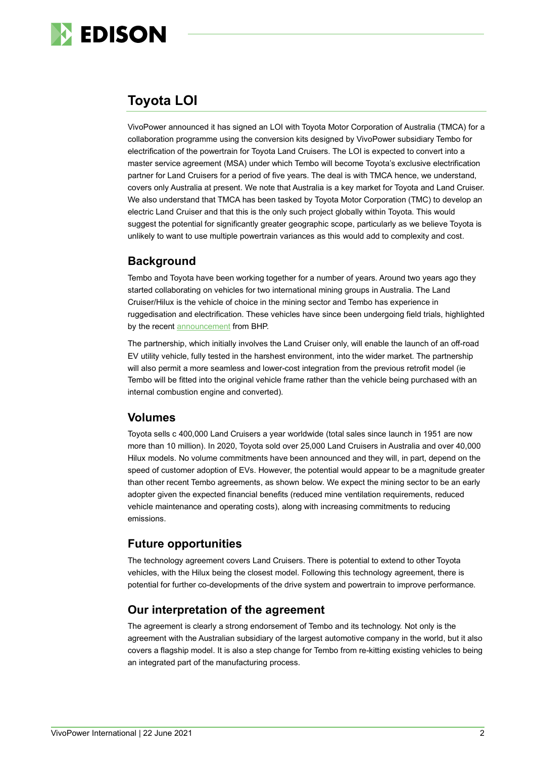

## **Toyota LOI**

VivoPower announced it has signed an LOI with Toyota Motor Corporation of Australia (TMCA) for a collaboration programme using the conversion kits designed by VivoPower subsidiary Tembo for electrification of the powertrain for Toyota Land Cruisers. The LOI is expected to convert into a master service agreement (MSA) under which Tembo will become Toyota's exclusive electrification partner for Land Cruisers for a period of five years. The deal is with TMCA hence, we understand, covers only Australia at present. We note that Australia is a key market for Toyota and Land Cruiser. We also understand that TMCA has been tasked by Toyota Motor Corporation (TMC) to develop an electric Land Cruiser and that this is the only such project globally within Toyota. This would suggest the potential for significantly greater geographic scope, particularly as we believe Toyota is unlikely to want to use multiple powertrain variances as this would add to complexity and cost.

## **Background**

Tembo and Toyota have been working together for a number of years. Around two years ago they started collaborating on vehicles for two international mining groups in Australia. The Land Cruiser/Hilux is the vehicle of choice in the mining sector and Tembo has experience in ruggedisation and electrification. These vehicles have since been undergoing field trials, highlighted by the recent [announcement](https://www.bhp.com/media-and-insights/news-releases/2021/01/bhp-and-toyota-partner-for-light-electric-vehicle-trial/) from BHP.

The partnership, which initially involves the Land Cruiser only, will enable the launch of an off-road EV utility vehicle, fully tested in the harshest environment, into the wider market. The partnership will also permit a more seamless and lower-cost integration from the previous retrofit model (ie Tembo will be fitted into the original vehicle frame rather than the vehicle being purchased with an internal combustion engine and converted).

### **Volumes**

Toyota sells c 400,000 Land Cruisers a year worldwide (total sales since launch in 1951 are now more than 10 million). In 2020, Toyota sold over 25,000 Land Cruisers in Australia and over 40,000 Hilux models. No volume commitments have been announced and they will, in part, depend on the speed of customer adoption of EVs. However, the potential would appear to be a magnitude greater than other recent Tembo agreements, as shown below. We expect the mining sector to be an early adopter given the expected financial benefits (reduced mine ventilation requirements, reduced vehicle maintenance and operating costs), along with increasing commitments to reducing emissions.

## **Future opportunities**

The technology agreement covers Land Cruisers. There is potential to extend to other Toyota vehicles, with the Hilux being the closest model. Following this technology agreement, there is potential for further co-developments of the drive system and powertrain to improve performance.

## **Our interpretation of the agreement**

The agreement is clearly a strong endorsement of Tembo and its technology. Not only is the agreement with the Australian subsidiary of the largest automotive company in the world, but it also covers a flagship model. It is also a step change for Tembo from re-kitting existing vehicles to being an integrated part of the manufacturing process.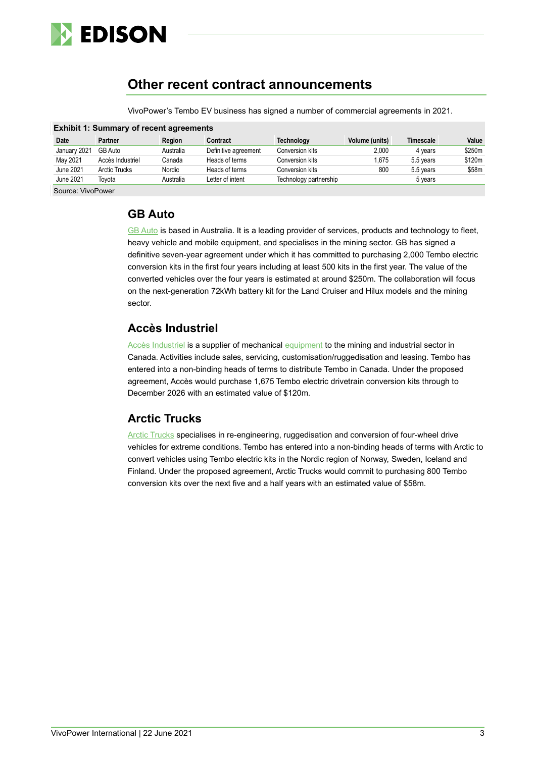

## **Other recent contract announcements**

| <b>Exhibit 1: Summary of recent agreements</b> |                  |           |                      |                        |                |           |        |  |
|------------------------------------------------|------------------|-----------|----------------------|------------------------|----------------|-----------|--------|--|
| Date                                           | Partner          | Region    | Contract             | Technology             | Volume (units) | Timescale | Value  |  |
| January 2021                                   | GB Auto          | Australia | Definitive agreement | Conversion kits        | 2.000          | 4 years   | \$250m |  |
| May 2021                                       | Accès Industriel | Canada    | Heads of terms       | Conversion kits        | 1.675          | 5.5 years | \$120m |  |
| June 2021                                      | Arctic Trucks    | Nordic    | Heads of terms       | Conversion kits        | 800            | 5.5 years | \$58m  |  |
| June 2021                                      | Tovota           | Australia | Letter of intent     | Technology partnership |                | 5 years   |        |  |
| Source: VivoPower                              |                  |           |                      |                        |                |           |        |  |

VivoPower's Tembo EV business has signed a number of commercial agreements in 2021.

### **GB Auto**

[GB Auto](https://gbauto.com.au/) is based in Australia. It is a leading provider of services, products and technology to fleet, heavy vehicle and mobile equipment, and specialises in the mining sector. GB has signed a definitive seven-year agreement under which it has committed to purchasing 2,000 Tembo electric conversion kits in the first four years including at least 500 kits in the first year. The value of the converted vehicles over the four years is estimated at around \$250m. The collaboration will focus on the next-generation 72kWh battery kit for the Land Cruiser and Hilux models and the mining sector.

## **Accès Industriel**

[Accès Industriel](https://acces-s.ca/en/about-us/) is a supplier of mechanica[l equipment](https://acces-s.ca/wp-content/uploads/2020/11/LAND-CRUISER-CATALOG_compressed.pdf) to the mining and industrial sector in Canada. Activities include sales, servicing, customisation/ruggedisation and leasing. Tembo has entered into a non-binding heads of terms to distribute Tembo in Canada. Under the proposed agreement, Accès would purchase 1,675 Tembo electric drivetrain conversion kits through to December 2026 with an estimated value of \$120m.

## **Arctic Trucks**

[Arctic Trucks](https://arctictrucks.com/vehicles-landing-page/) specialises in re-engineering, ruggedisation and conversion of four-wheel drive vehicles for extreme conditions. Tembo has entered into a non-binding heads of terms with Arctic to convert vehicles using Tembo electric kits in the Nordic region of Norway, Sweden, Iceland and Finland. Under the proposed agreement, Arctic Trucks would commit to purchasing 800 Tembo conversion kits over the next five and a half years with an estimated value of \$58m.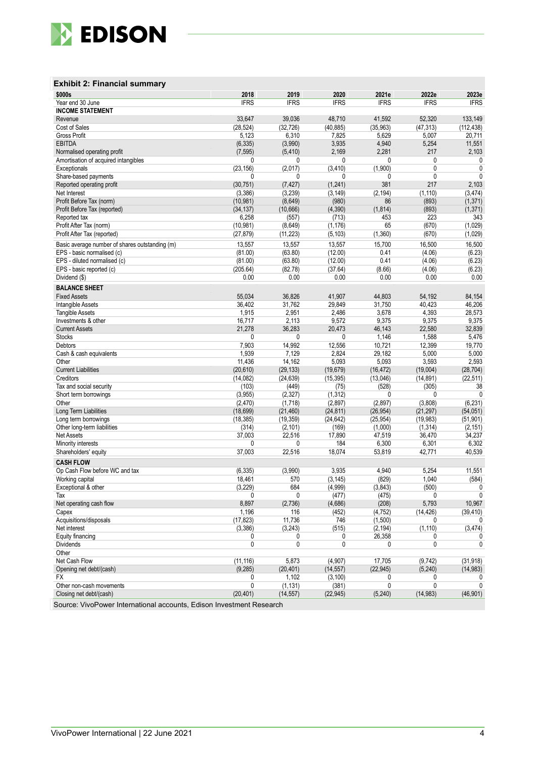

#### **Exhibit 2: Financial summary**

| \$000s                                                   | 2018         | 2019        | 2020        | 2021e       | 2022e       | 2023e        |  |
|----------------------------------------------------------|--------------|-------------|-------------|-------------|-------------|--------------|--|
| Year end 30 June                                         | <b>IFRS</b>  | <b>IFRS</b> | <b>IFRS</b> | <b>IFRS</b> | <b>IFRS</b> | <b>IFRS</b>  |  |
| <b>INCOME STATEMENT</b>                                  |              |             |             |             |             |              |  |
| Revenue                                                  | 33,647       | 39,036      | 48,710      | 41,592      | 52,320      | 133,149      |  |
| Cost of Sales                                            | (28, 524)    | (32, 726)   | (40, 885)   | (35, 963)   | (47, 313)   | (112, 438)   |  |
| Gross Profit                                             | 5,123        | 6,310       | 7,825       | 5,629       | 5,007       | 20,711       |  |
| <b>EBITDA</b>                                            | (6, 335)     | (3,990)     | 3,935       | 4,940       | 5,254       | 11,551       |  |
| Normalised operating profit                              | (7, 595)     | (5, 410)    | 2,169       | 2,281       | 217         | 2,103        |  |
| Amortisation of acquired intangibles                     | 0            | 0           | 0           | 0           | 0           | 0            |  |
| Exceptionals                                             | (23, 156)    | (2,017)     | (3, 410)    | (1,900)     | 0           | 0            |  |
| Share-based payments                                     | 0            | 0           | 0           | 0           | 0           | $\mathbf{0}$ |  |
| Reported operating profit                                | (30, 751)    | (7, 427)    | (1, 241)    | 381         | 217         | 2,103        |  |
| Net Interest                                             | (3,386)      | (3, 239)    | (3, 149)    | (2, 194)    | (1, 110)    | (3, 474)     |  |
| Profit Before Tax (norm)                                 | (10, 981)    | (8,649)     | (980)       | 86          | (893)       | (1, 371)     |  |
| Profit Before Tax (reported)                             | (34, 137)    | (10, 666)   | (4, 390)    | (1, 814)    | (893)       | (1, 371)     |  |
| Reported tax                                             | 6,258        | (557)       | (713)       | 453         | 223         | 343          |  |
| Profit After Tax (norm)                                  | (10, 981)    | (8,649)     | (1, 176)    | 65          | (670)       | (1,029)      |  |
| Profit After Tax (reported)                              | (27, 879)    | (11, 223)   | (5, 103)    | (1,360)     | (670)       | (1,029)      |  |
|                                                          | 13,557       | 13,557      | 13,557      | 15,700      | 16,500      | 16,500       |  |
| Basic average number of shares outstanding (m)           |              |             |             | 0.41        |             |              |  |
| EPS - basic normalised (c)                               | (81.00)      | (63.80)     | (12.00)     |             | (4.06)      | (6.23)       |  |
| EPS - diluted normalised (c)                             | (81.00)      | (63.80)     | (12.00)     | 0.41        | (4.06)      | (6.23)       |  |
| EPS - basic reported (c)                                 | (205.64)     | (82.78)     | (37.64)     | (8.66)      | (4.06)      | (6.23)       |  |
| Dividend (\$)                                            | 0.00         | 0.00        | 0.00        | 0.00        | 0.00        | 0.00         |  |
| <b>BALANCE SHEET</b>                                     |              |             |             |             |             |              |  |
| <b>Fixed Assets</b>                                      | 55,034       | 36,826      | 41,907      | 44,803      | 54,192      | 84,154       |  |
| Intangible Assets                                        | 36,402       | 31,762      | 29,849      | 31,750      | 40,423      | 46,206       |  |
| <b>Tangible Assets</b>                                   | 1,915        | 2,951       | 2,486       | 3,678       | 4,393       | 28,573       |  |
| Investments & other                                      | 16,717       | 2,113       | 9,572       | 9,375       | 9,375       | 9,375        |  |
| <b>Current Assets</b>                                    | 21,278       | 36,283      | 20,473      | 46,143      | 22,580      | 32,839       |  |
| <b>Stocks</b>                                            | 0            | 0           | 0           | 1,146       | 1,588       | 5,476        |  |
| <b>Debtors</b>                                           | 7,903        | 14,992      | 12,556      | 10,721      | 12,399      | 19,770       |  |
| Cash & cash equivalents                                  | 1,939        | 7,129       | 2,824       | 29,182      | 5,000       | 5,000        |  |
| Other                                                    | 11,436       | 14,162      | 5,093       | 5,093       | 3,593       | 2,593        |  |
| <b>Current Liabilities</b>                               | (20, 610)    | (29, 133)   | (19, 679)   | (16, 472)   | (19,004)    | (28, 704)    |  |
| Creditors                                                | (14, 082)    | (24, 639)   | (15, 395)   | (13,046)    | (14, 891)   | (22, 511)    |  |
| Tax and social security                                  | (103)        | (449)       | (75)        | (528)       | (305)       | 38           |  |
| Short term borrowings                                    | (3,955)      | (2, 327)    | (1, 312)    | 0           | 0           | $\mathbf{0}$ |  |
| Other                                                    | (2, 470)     | (1,718)     | (2,897)     | (2,897)     | (3,808)     | (6, 231)     |  |
| Long Term Liabilities                                    | (18, 699)    | (21, 460)   | (24, 811)   | (26, 954)   | (21, 297)   | (54, 051)    |  |
| Long term borrowings                                     | (18, 385)    | (19, 359)   | (24, 642)   | (25, 954)   | (19, 983)   | (51, 901)    |  |
| Other long-term liabilities                              | (314)        | (2, 101)    | (169)       | (1,000)     | (1, 314)    | (2, 151)     |  |
| <b>Net Assets</b>                                        | 37,003       | 22,516      | 17,890      | 47,519      | 36,470      | 34,237       |  |
|                                                          | $\mathbf{0}$ | 0           | 184         | 6,300       | 6,301       | 6,302        |  |
| Minority interests                                       | 37,003       | 22,516      | 18,074      | 53,819      | 42,771      | 40,539       |  |
| Shareholders' equity                                     |              |             |             |             |             |              |  |
| <b>CASH FLOW</b>                                         |              |             |             |             |             |              |  |
| Op Cash Flow before WC and tax                           | (6, 335)     | (3,990)     | 3,935       | 4,940       | 5,254       | 11,551       |  |
| Working capital                                          | 18,461       | 570         | (3, 145)    | (829)       | 1,040       | (584)        |  |
| Exceptional & other                                      | (3, 229)     | 684         | (4,999)     | (3, 843)    | (500)       | 0            |  |
| Tax                                                      | 0            | 0           | (477)       | (475)       | 0           | 0            |  |
| Net operating cash flow                                  | 8,897        | (2,736)     | (4,686)     | (208)       | 5,793       | 10,967       |  |
| Capex                                                    | 1,196        | 116         | (452)       | (4, 752)    | (14, 426)   | (39,410)     |  |
| Acquisitions/disposals                                   | (17, 823)    | 11,736      | 746         | (1,500)     | 0           | 0            |  |
| Net interest                                             | (3,386)      | (3,243)     | (515)       | (2, 194)    | (1, 110)    | (3, 474)     |  |
| Equity financing                                         | 0            | 0           | 0           | 26,358      | 0           |              |  |
| <b>Dividends</b>                                         | $\mathbf{0}$ | 0           | 0           | 0           | 0           | 0            |  |
| Other                                                    |              |             |             |             |             |              |  |
| Net Cash Flow                                            | (11, 116)    | 5,873       | (4,907)     | 17,705      | (9, 742)    | (31, 918)    |  |
| Opening net debt/(cash)                                  | (9, 285)     | (20, 401)   | (14, 557)   | (22, 945)   | (5, 240)    | (14, 983)    |  |
| FX.                                                      | 0            | 1,102       | (3, 100)    | 0           | 0           | 0            |  |
| Other non-cash movements                                 | $\mathbf{0}$ | (1, 131)    | (381)       | 0           | 0           | $\mathbf{0}$ |  |
| Closing net debt/(cash)                                  | (20, 401)    | (14, 557)   | (22, 945)   | (5, 240)    | (14, 983)   | (46, 901)    |  |
| Source: ViveDower International coopunte Edison Investme |              | nt Donograp |             |             |             |              |  |

Source: VivoPower International accounts, Edison Investment Research